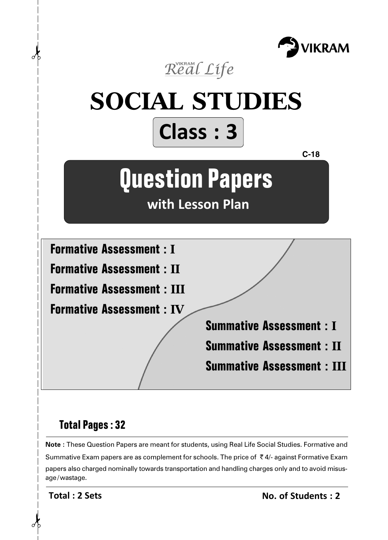



# **Total Pages : 32**

**Note :** These Question Papers are meant for students, using Real Life Social Studies. Formative and Summative Exam papers are as complement for schools. The price of  $\bar{\tau}$  4/- against Formative Exam papers also charged nominally towards transportation and handling charges only and to avoid misusage/wastage.

**Total : 2 Sets**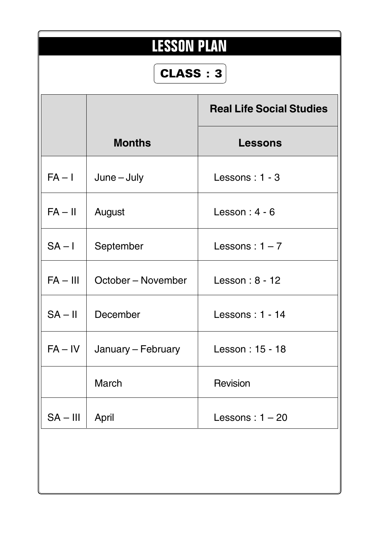| <b>LESSON PLAN</b><br>CLASS: 3 |                    |                                 |  |  |
|--------------------------------|--------------------|---------------------------------|--|--|
|                                |                    | <b>Real Life Social Studies</b> |  |  |
|                                | <b>Months</b>      | <b>Lessons</b>                  |  |  |
| $FA - I$                       | $June - July$      | Lessons: 1 - 3                  |  |  |
| $FA - II$                      | August             | Lesson: $4 - 6$                 |  |  |
| $SA - I$                       | September          | Lessons: $1 - 7$                |  |  |
| $FA - III$                     | October – November | Lesson: 8 - 12                  |  |  |
| $SA - II$                      | December           | Lessons: 1 - 14                 |  |  |
| $FA - IV$                      | January - February | Lesson: 15 - 18                 |  |  |
|                                | <b>March</b>       | Revision                        |  |  |
| $SA - III$                     | April              | Lessons: $1 - 20$               |  |  |
|                                |                    |                                 |  |  |
|                                |                    |                                 |  |  |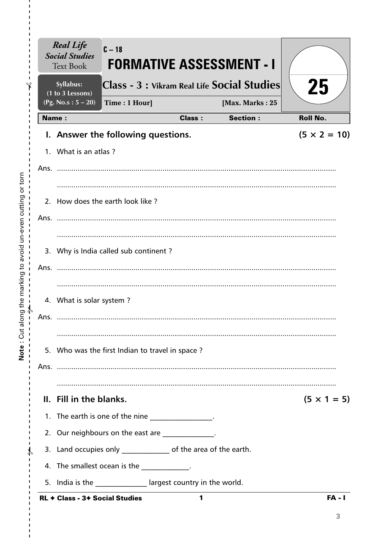| <b>Real Life</b><br><b>Social Studies</b><br><b>Text Book</b> | $C - 18$                                                         |               | <b>FORMATIVE ASSESSMENT - I</b>             |                     |
|---------------------------------------------------------------|------------------------------------------------------------------|---------------|---------------------------------------------|---------------------|
| Syllabus:                                                     |                                                                  |               | Class - 3 : Vikram Real Life Social Studies | 25                  |
| (1 to 3 Lessons)<br>(Pg. No.s: $5 - 20$ )                     | Time: 1 Hour]                                                    |               | [Max. Marks: 25                             |                     |
| <b>Name:</b>                                                  |                                                                  | <b>Class:</b> | <b>Section:</b>                             | <b>Roll No.</b>     |
|                                                               | I. Answer the following questions.                               |               |                                             | $(5 \times 2 = 10)$ |
| 1. What is an atlas?                                          |                                                                  |               |                                             |                     |
|                                                               |                                                                  |               |                                             |                     |
|                                                               |                                                                  |               |                                             |                     |
|                                                               | 2. How does the earth look like?                                 |               |                                             |                     |
|                                                               |                                                                  |               |                                             |                     |
|                                                               |                                                                  |               |                                             |                     |
|                                                               | 3. Why is India called sub continent?                            |               |                                             |                     |
| Ans.                                                          |                                                                  |               |                                             |                     |
|                                                               |                                                                  |               |                                             |                     |
| 4. What is solar system?                                      |                                                                  |               |                                             |                     |
| Ans.                                                          |                                                                  |               |                                             |                     |
|                                                               |                                                                  |               |                                             |                     |
|                                                               | 5. Who was the first Indian to travel in space?                  |               |                                             |                     |
|                                                               |                                                                  |               |                                             |                     |
|                                                               |                                                                  |               |                                             |                     |
| II. Fill in the blanks.                                       |                                                                  |               |                                             | $(5 \times 1 = 5)$  |
|                                                               | 1. The earth is one of the nine ________________.                |               |                                             |                     |
|                                                               | 2. Our neighbours on the east are ____________.                  |               |                                             |                     |
|                                                               | 3. Land occupies only ________________ of the area of the earth. |               |                                             |                     |
|                                                               | 4. The smallest ocean is the _____________.                      |               |                                             |                     |
|                                                               | 5. India is the ______________ largest country in the world.     |               |                                             |                     |
| <b>RL + Class - 3+ Social Studies</b>                         |                                                                  | 1             |                                             | <b>FA - I</b>       |

 $\frac{1}{1}$  $\frac{1}{1}$ 

 $\mathbf I$  $\mathbf{I}$  $\frac{1}{1}$ 

 $\frac{1}{1}$   $\frac{1}{1}$   $\frac{1}{1}$   $\frac{1}{1}$ 

 $\bar{\mathbf{I}}$  $\bar{\mathbf{I}}$  $\bar{\mathbf{I}}$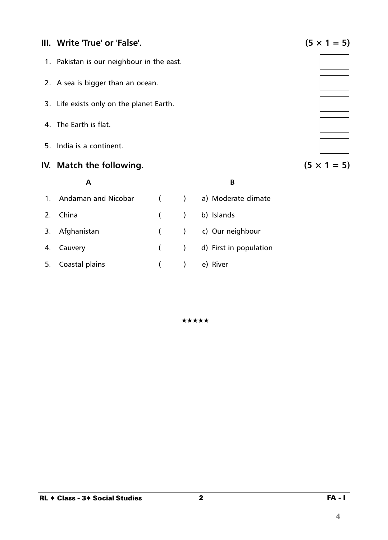### **III.** Write 'True' or 'False'.  $(5 \times 1 = 5)$

- 1. Pakistan is our neighbour in the east.
- 2. A sea is bigger than an ocean.
- 3. Life exists only on the planet Earth.
- 4. The Earth is flat.
- 5. India is a continent.

## **IV.** Match the following.  $(5 \times 1 = 5)$

# **A B** 1. Andaman and Nicobar ( ) a) Moderate climate 2. China ( ) b) Islands 3. Afghanistan ( ) c) Our neighbour 4. Cauvery ( ) d) First in population 5. Coastal plains ( ) e) River

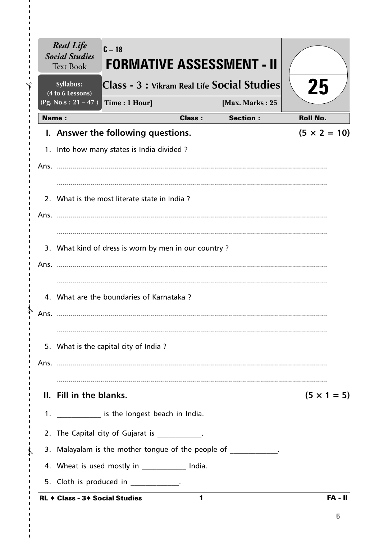| <b>Real Life</b><br><b>Social Studies</b><br><b>Text Book</b> | $C - 18$<br><b>FORMATIVE ASSESSMENT - II</b>         |                                  |                     |
|---------------------------------------------------------------|------------------------------------------------------|----------------------------------|---------------------|
| Syllabus:<br>(4 to 6 Lessons)                                 | Class - 3 : Vikram Real Life Social Studies          |                                  | 25                  |
| $(Pg. No.s: 21 - 47)$                                         | Time: 1 Hour]                                        | [Max. Marks: 25                  |                     |
| <b>Name:</b>                                                  |                                                      | <b>Section:</b><br><b>Class:</b> | <b>Roll No.</b>     |
|                                                               | I. Answer the following questions.                   |                                  | $(5 \times 2 = 10)$ |
|                                                               | 1. Into how many states is India divided?            |                                  |                     |
|                                                               |                                                      |                                  |                     |
|                                                               | 2. What is the most literate state in India?         |                                  |                     |
|                                                               |                                                      |                                  |                     |
|                                                               |                                                      |                                  |                     |
|                                                               | 3. What kind of dress is worn by men in our country? |                                  |                     |
|                                                               |                                                      |                                  |                     |
|                                                               |                                                      |                                  |                     |
|                                                               | 4. What are the boundaries of Karnataka?             |                                  |                     |
| Ans.                                                          |                                                      |                                  |                     |
|                                                               |                                                      |                                  |                     |
|                                                               | 5. What is the capital city of India?                |                                  |                     |
|                                                               |                                                      |                                  |                     |
|                                                               |                                                      |                                  |                     |
| II. Fill in the blanks.                                       |                                                      |                                  | $(5 \times 1 = 5)$  |
|                                                               | 1. ______________ is the longest beach in India.     |                                  |                     |
|                                                               | 2. The Capital city of Gujarat is ___________.       |                                  |                     |
|                                                               | 3. Malayalam is the mother tongue of the people of   |                                  |                     |
|                                                               | 4. Wheat is used mostly in _____________ India.      |                                  |                     |
|                                                               | 5. Cloth is produced in _____________.               |                                  |                     |
| <b>RL ← Class - 3← Social Studies</b>                         |                                                      | 1                                | <b>FA - II</b>      |

I,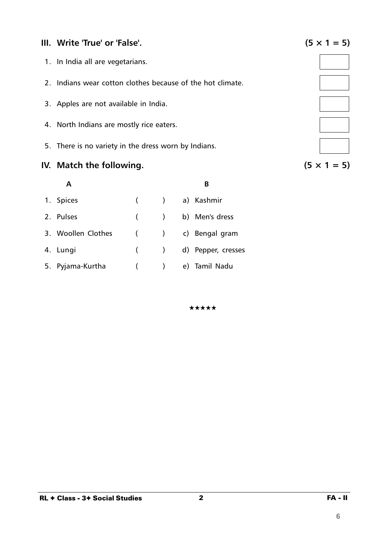## **III.** Write 'True' or 'False'.  $(5 \times 1 = 5)$

- 1. In India all are vegetarians.
- 2. Indians wear cotton clothes because of the hot climate.
- 3. Apples are not available in India.
- 4. North Indians are mostly rice eaters.
- 5. There is no variety in the dress worn by Indians.

# **IV.** Match the following.  $(5 \times 1 = 5)$

|                    |                          | B                      |
|--------------------|--------------------------|------------------------|
| 1. Spices          |                          | ( ) a) Kashmir         |
| 2. Pulses          |                          | ( ) b) Men's dress     |
| 3. Woollen Clothes |                          | ( ) c) Bengal gram     |
| 4. Lungi           |                          | ( ) d) Pepper, cresses |
| 5. Pyjama-Kurtha   | $\overline{\phantom{a}}$ | e) Tamil Nadu          |

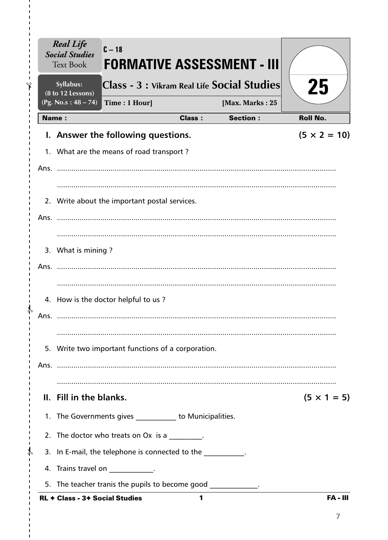|      | <b>Real Life</b><br><b>Social Studies</b><br><b>Text Book</b> | $C - 18$<br>FORMATIVE ASSESSMENT - III                         |               |                 |                     |
|------|---------------------------------------------------------------|----------------------------------------------------------------|---------------|-----------------|---------------------|
|      | Syllabus:<br>(8 to 12 Lessons)                                | Class - 3 : Vikram Real Life Social Studies                    |               |                 | 25                  |
|      | (Pg. No.s: $48 - 74$ )                                        | Time: 1 Hour]                                                  |               | [Max. Marks: 25 |                     |
|      | <b>Name:</b>                                                  |                                                                | <b>Class:</b> | <b>Section:</b> | <b>Roll No.</b>     |
|      |                                                               | I. Answer the following questions.                             |               |                 | $(5 \times 2 = 10)$ |
|      |                                                               | 1. What are the means of road transport?                       |               |                 |                     |
|      |                                                               |                                                                |               |                 |                     |
|      |                                                               | 2. Write about the important postal services.                  |               |                 |                     |
|      |                                                               |                                                                |               |                 |                     |
|      | 3. What is mining?                                            |                                                                |               |                 |                     |
|      |                                                               |                                                                |               |                 |                     |
| Ans. |                                                               | 4. How is the doctor helpful to us?                            |               |                 |                     |
|      |                                                               | 5. Write two important functions of a corporation.             |               |                 |                     |
|      |                                                               |                                                                |               |                 |                     |
|      | II. Fill in the blanks.                                       |                                                                |               |                 | $(5 \times 1 = 5)$  |
|      |                                                               | 1. The Governments gives ___________ to Municipalities.        |               |                 |                     |
|      |                                                               | 2. The doctor who treats on Ox is a                            |               |                 |                     |
|      |                                                               | 3. In E-mail, the telephone is connected to the                |               |                 |                     |
|      |                                                               | 4. Trains travel on _____________.                             |               |                 |                     |
|      |                                                               | 5. The teacher tranis the pupils to become good _____________. |               |                 |                     |
|      | <b>RL ← Class - 3← Social Studies</b>                         |                                                                | 1             |                 | <b>FA - III</b>     |

I,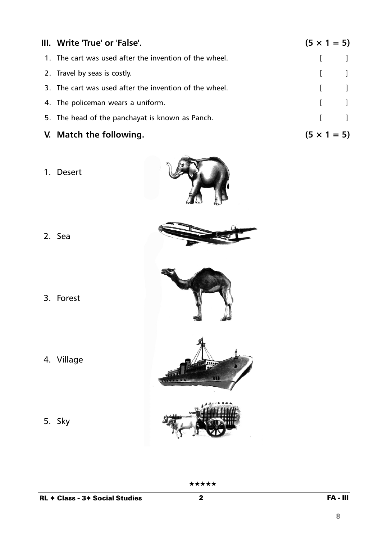| III. Write 'True' or 'False'.                          | $(5 \times 1 = 5)$ |                                                |
|--------------------------------------------------------|--------------------|------------------------------------------------|
| 1. The cart was used after the invention of the wheel. |                    |                                                |
| 2. Travel by seas is costly.                           |                    | $\begin{bmatrix} 1 & 1 \\ 1 & 1 \end{bmatrix}$ |
| 3. The cart was used after the invention of the wheel. |                    | $\begin{bmatrix} 1 & 1 \end{bmatrix}$          |
| 4. The policeman wears a uniform.                      |                    | $\begin{bmatrix} 1 & 1 \\ 1 & 1 \end{bmatrix}$ |
| 5. The head of the panchayat is known as Panch.        |                    | $\begin{bmatrix} 1 & 1 \end{bmatrix}$          |
| V. Match the following.                                | $(5 \times 1 = 5)$ |                                                |

1. Desert



- 2. Sea
- 3. Forest
- 4. Village
- 5. Sky





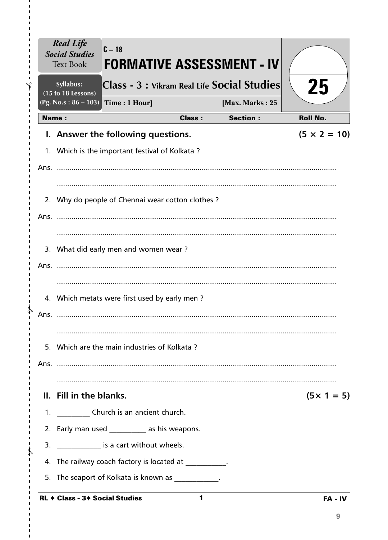|            | <b>Real Life</b><br><b>Social Studies</b><br><b>Text Book</b> | $C - 18$<br><b>FORMATIVE ASSESSMENT - IV</b>           |               |                 |                     |
|------------|---------------------------------------------------------------|--------------------------------------------------------|---------------|-----------------|---------------------|
|            | Syllabus:<br>(15 to 18 Lessons)                               | Class - 3 : Vikram Real Life Social Studies            |               |                 | 25                  |
|            | $(Pg. No.s: 86 - 103)$                                        | Time: 1 Hour]                                          |               | [Max. Marks: 25 |                     |
|            | <b>Name:</b>                                                  |                                                        | <b>Class:</b> | <b>Section:</b> | <b>Roll No.</b>     |
|            |                                                               | I. Answer the following questions.                     |               |                 | $(5 \times 2 = 10)$ |
|            |                                                               | 1. Which is the important festival of Kolkata?         |               |                 |                     |
|            |                                                               |                                                        |               |                 |                     |
| 2.<br>Ans. |                                                               | Why do people of Chennai wear cotton clothes?          |               |                 |                     |
| Ans.       |                                                               | 3. What did early men and women wear?                  |               |                 |                     |
| Ans.       |                                                               | 4. Which metats were first used by early men?          |               |                 |                     |
|            |                                                               | 5. Which are the main industries of Kolkata?           |               |                 |                     |
|            | II. Fill in the blanks.                                       |                                                        |               |                 | $(5 \times 1 = 5)$  |
|            |                                                               | 1. _____________ Church is an ancient church.          |               |                 |                     |
|            |                                                               | 2. Early man used ___________ as his weapons.          |               |                 |                     |
| 3.         |                                                               | _______________ is a cart without wheels.              |               |                 |                     |
|            |                                                               | 4. The railway coach factory is located at __________. |               |                 |                     |
| 5.         |                                                               | The seaport of Kolkata is known as ___________.        |               |                 |                     |
|            | RL + Class - 3+ Social Studies                                |                                                        | $\mathbf{1}$  |                 | FA - IV             |

 $\frac{1}{1}$  $\hat{\mathbf{r}}$  $\mathbf{I}$  $\mathbf{I}$  $\mathbf{I}$ 

> $\gamma$  $\mathbf{I}$

> $\frac{1}{2}$  $\mathbf I$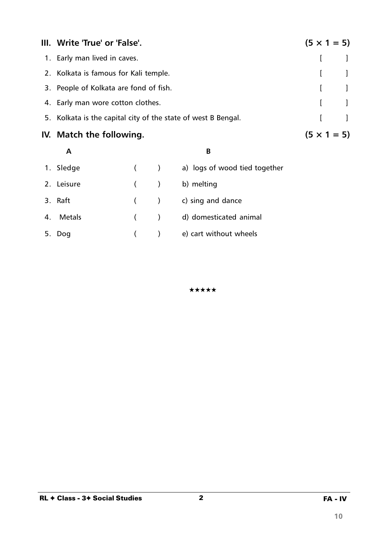| III. Write 'True' or 'False'.                                 | $(5 \times 1 = 5)$ |                                       |
|---------------------------------------------------------------|--------------------|---------------------------------------|
| 1. Early man lived in caves.                                  |                    |                                       |
| 2. Kolkata is famous for Kali temple.                         |                    |                                       |
| 3. People of Kolkata are fond of fish.                        |                    | $\begin{bmatrix} 1 & 1 \end{bmatrix}$ |
| 4. Early man wore cotton clothes.                             |                    | $\begin{bmatrix} 1 & 1 \end{bmatrix}$ |
| 5. Kolkata is the capital city of the state of west B Bengal. | $\mathbf{L}$       |                                       |
| IV. Match the following.                                      | $(5 \times 1 = 5)$ |                                       |

#### **A B**

| 1. Sledge  |         | $\overline{\phantom{a}}$ | a) logs of wood tied together |
|------------|---------|--------------------------|-------------------------------|
| 2. Leisure | $($ )   |                          | b) melting                    |
| 3. Raft    | $($ $)$ |                          | c) sing and dance             |
| 4. Metals  | (       |                          | d) domesticated animal        |
| 5. Dog     |         |                          | e) cart without wheels        |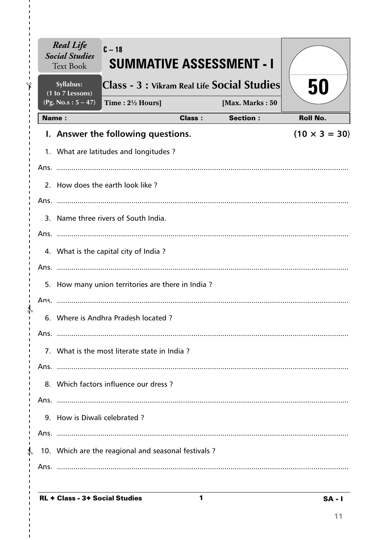|               |      | <b>Real Life</b><br><b>Social Studies</b><br><b>Text Book</b> | $C-18$<br><b>SUMMATIVE ASSESSMENT - I</b>           |               |                 |                      |
|---------------|------|---------------------------------------------------------------|-----------------------------------------------------|---------------|-----------------|----------------------|
| Ÿ             |      | Syllabus:<br>(1 to 7 Lessons)                                 | Class - 3 : Vikram Real Life Social Studies         |               |                 | 50                   |
|               |      | (Pg. No.s: $5 - 47$ )                                         | Time : $2\frac{1}{2}$ Hours]                        |               | [Max. Marks: 50 |                      |
|               |      | <b>Name:</b>                                                  |                                                     | <b>Class:</b> | <b>Section:</b> | <b>Roll No.</b>      |
|               |      |                                                               | I. Answer the following questions.                  |               |                 | $(10 \times 3 = 30)$ |
|               |      |                                                               | 1. What are latitudes and longitudes?               |               |                 |                      |
|               |      |                                                               |                                                     |               |                 |                      |
|               |      |                                                               | 2. How does the earth look like?                    |               |                 |                      |
|               |      |                                                               |                                                     |               |                 |                      |
|               |      |                                                               | 3. Name three rivers of South India.                |               |                 |                      |
|               |      |                                                               |                                                     |               |                 |                      |
|               |      |                                                               | 4. What is the capital city of India?               |               |                 |                      |
|               |      |                                                               |                                                     |               |                 |                      |
|               |      |                                                               | 5. How many union territories are there in India?   |               |                 |                      |
|               |      |                                                               |                                                     |               |                 |                      |
|               |      |                                                               | 6. Where is Andhra Pradesh located?                 |               |                 |                      |
|               | Ans. |                                                               |                                                     |               |                 |                      |
|               |      |                                                               | 7. What is the most literate state in India?        |               |                 |                      |
| п             |      |                                                               |                                                     |               |                 |                      |
|               |      |                                                               | 8. Which factors influence our dress?               |               |                 |                      |
|               |      |                                                               |                                                     |               |                 |                      |
|               |      | 9. How is Diwali celebrated?                                  |                                                     |               |                 |                      |
|               |      |                                                               |                                                     |               |                 |                      |
| $\frac{1}{4}$ |      |                                                               | 10. Which are the reagional and seasonal festivals? |               |                 |                      |
|               |      |                                                               |                                                     |               |                 |                      |
|               |      |                                                               |                                                     |               |                 |                      |

 $\mathbf{1}$ 

I.

I.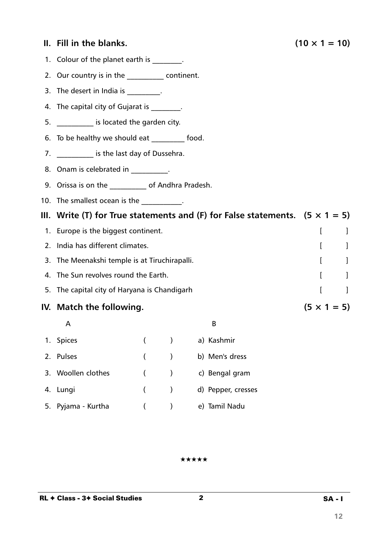### **II.** Fill in the blanks. (10  $\times$  1 = 10)

- 1. Colour of the planet earth is \_\_\_\_\_\_\_\_.
- 2. Our country is in the \_\_\_\_\_\_\_\_\_\_\_ continent.
- 3. The desert in India is  $\frac{1}{2}$ .
- 4. The capital city of Gujarat is  $\qquad \qquad$ .
- 5. \_\_\_\_\_\_\_\_\_\_ is located the garden city.
- 6. To be healthy we should eat \_\_\_\_\_\_\_\_\_ food.
- 7. \_\_\_\_\_\_\_\_\_\_\_\_ is the last day of Dussehra.
- 8. Onam is celebrated in Fig. 2. 1998.
- 9. Orissa is on the \_\_\_\_\_\_\_\_\_\_ of Andhra Pradesh.
- 10. The smallest ocean is the manuscript of the set of the set of the set of the set of the set of the set of the set of the set of the set of the set of the set of the set of the set of the set of the set of the set of th
- **III. Write (T) for True statements and (F) for False statements. (5 × 1 = 5)**
- 1. Europe is the biggest continent.
- 2. India has different climates. The contract of the contract of the contract of the contract of the contract of the contract of the contract of the contract of the contract of the contract of the contract of the contract
- 3. The Meenakshi temple is at Tiruchirapalli. The matrix of the Meenakshi temple is at Tiruchirapalli.
- 4. The Sun revolves round the Earth. The Sun revolves round the Earth.
- 5. The capital city of Haryana is Chandigarh **Fig. 1** (1) The capital city of Haryana is Chandigarh **[**  $\qquad$  ]
- **IV.** Match the following.  $(5 \times 1 = 5)$ 
	- $\mathsf A$

| 1. Spices          | (                                      | a) Kashmir         |
|--------------------|----------------------------------------|--------------------|
| 2. Pulses          | $($ )                                  | b) Men's dress     |
| 3. Woollen clothes | $\overline{\phantom{a}}$<br>$\sqrt{2}$ | c) Bengal gram     |
| 4. Lungi           | $($ )                                  | d) Pepper, cresses |
| 5. Pyjama - Kurtha |                                        | e) Tamil Nadu      |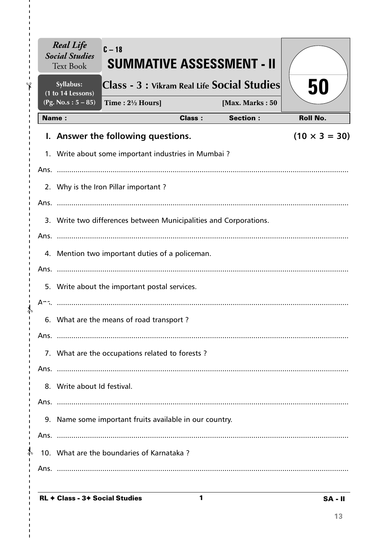|               |      | <b>Real Life</b><br><b>Social Studies</b><br><b>Text Book</b> | $C - 18$<br><b>SUMMATIVE ASSESSMENT - II</b>                      |               |                 |                      |  |
|---------------|------|---------------------------------------------------------------|-------------------------------------------------------------------|---------------|-----------------|----------------------|--|
|               |      | Syllabus:<br>(1 to 14 Lessons)                                | Class - 3 : Vikram Real Life Social Studies                       |               |                 | 50                   |  |
|               |      | (Pg. No.s: $5 - 85$ )                                         | Time: $2\frac{1}{2}$ Hours]                                       |               | [Max. Marks: 50 |                      |  |
|               |      | <b>Name:</b>                                                  |                                                                   | <b>Class:</b> | <b>Section:</b> | <b>Roll No.</b>      |  |
|               |      |                                                               | I. Answer the following questions.                                |               |                 | $(10 \times 3 = 30)$ |  |
|               |      |                                                               | 1. Write about some important industries in Mumbai?               |               |                 |                      |  |
|               |      |                                                               |                                                                   |               |                 |                      |  |
|               |      |                                                               | 2. Why is the Iron Pillar important?                              |               |                 |                      |  |
|               |      |                                                               |                                                                   |               |                 |                      |  |
|               |      |                                                               | 3. Write two differences between Municipalities and Corporations. |               |                 |                      |  |
|               |      |                                                               |                                                                   |               |                 |                      |  |
|               |      |                                                               | 4. Mention two important duties of a policeman.                   |               |                 |                      |  |
|               |      |                                                               |                                                                   |               |                 |                      |  |
|               |      | 5. Write about the important postal services.                 |                                                                   |               |                 |                      |  |
|               |      |                                                               |                                                                   |               |                 |                      |  |
|               |      |                                                               | 6. What are the means of road transport?                          |               |                 |                      |  |
|               | Ans. |                                                               |                                                                   |               |                 |                      |  |
|               |      |                                                               | 7. What are the occupations related to forests?                   |               |                 |                      |  |
|               |      |                                                               |                                                                   |               |                 |                      |  |
|               |      | 8. Write about Id festival.                                   |                                                                   |               |                 |                      |  |
|               |      |                                                               |                                                                   |               |                 |                      |  |
|               |      | 9. Name some important fruits available in our country.       |                                                                   |               |                 |                      |  |
|               |      |                                                               |                                                                   |               |                 |                      |  |
| $\frac{1}{4}$ |      |                                                               | 10. What are the boundaries of Karnataka?                         |               |                 |                      |  |
|               |      |                                                               |                                                                   |               |                 |                      |  |
|               |      |                                                               |                                                                   |               |                 |                      |  |

 $\mathbf{1}$ 

I.

I.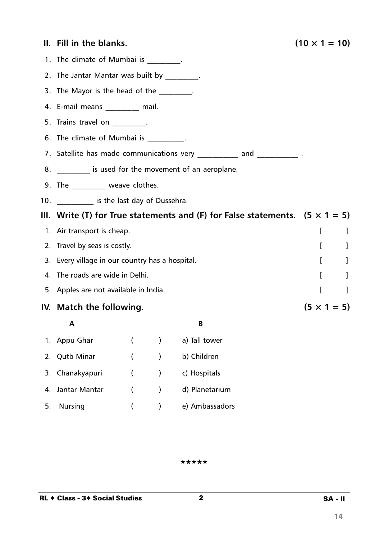|    | II. Fill in the blanks.                                                             |                    |           |                                                                          | $(10 \times 1 = 10)$         |  |  |
|----|-------------------------------------------------------------------------------------|--------------------|-----------|--------------------------------------------------------------------------|------------------------------|--|--|
|    | 1. The climate of Mumbai is ________.                                               |                    |           |                                                                          |                              |  |  |
|    | 2. The Jantar Mantar was built by _________.                                        |                    |           |                                                                          |                              |  |  |
|    | 3. The Mayor is the head of the _________.                                          |                    |           |                                                                          |                              |  |  |
|    | 4. E-mail means _________ mail.                                                     |                    |           |                                                                          |                              |  |  |
|    | 5. Trains travel on Fig.                                                            |                    |           |                                                                          |                              |  |  |
|    | 6. The climate of Mumbai is _________.                                              |                    |           |                                                                          |                              |  |  |
|    |                                                                                     |                    |           | 7. Satellite has made communications very ___________ and _____________. |                              |  |  |
|    | 8. __________ is used for the movement of an aeroplane.                             |                    |           |                                                                          |                              |  |  |
|    | 9. The __________ weave clothes.                                                    |                    |           |                                                                          |                              |  |  |
|    | 10. ____________ is the last day of Dussehra.                                       |                    |           |                                                                          |                              |  |  |
|    | III. Write (T) for True statements and (F) for False statements. $(5 \times 1 = 5)$ |                    |           |                                                                          |                              |  |  |
|    | 1. Air transport is cheap.                                                          | I<br>-1            |           |                                                                          |                              |  |  |
|    | 2. Travel by seas is costly.                                                        |                    |           |                                                                          | $\mathbf{r}$<br>$\perp$      |  |  |
|    | 3. Every village in our country has a hospital.                                     |                    |           |                                                                          | $\mathbf{I}$<br>-1           |  |  |
|    | 4. The roads are wide in Delhi.                                                     |                    |           |                                                                          | $\mathbf{r}$<br>$\mathbf{I}$ |  |  |
|    | 5. Apples are not available in India.                                               |                    |           |                                                                          | $\overline{[}$<br>$\Box$     |  |  |
|    | IV. Match the following.                                                            | $(5 \times 1 = 5)$ |           |                                                                          |                              |  |  |
|    | Α                                                                                   |                    |           | В                                                                        |                              |  |  |
| 1. | Appu Ghar                                                                           |                    |           | a) Tall tower                                                            |                              |  |  |
| 2. | <b>Qutb Minar</b>                                                                   |                    |           | b) Children                                                              |                              |  |  |
| 3. | Chanakyapuri                                                                        |                    |           | c) Hospitals                                                             |                              |  |  |
| 4. | Jantar Mantar                                                                       |                    | $\lambda$ | d) Planetarium                                                           |                              |  |  |

5. Nursing ( ) e) Ambassadors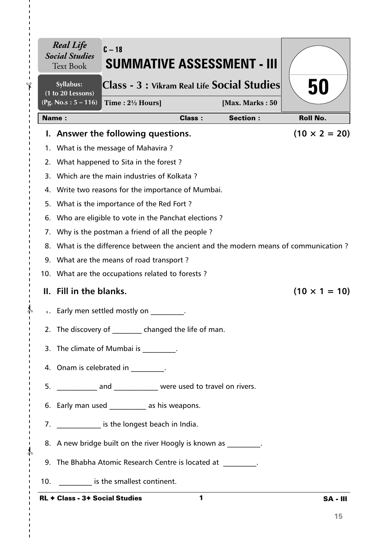| $\blacksquare$       |     | <b>Real Life</b><br><b>Social Studies</b><br><b>Text Book</b> | $C - 18$<br><b>SUMMATIVE ASSESSMENT - III</b>                                        |               |                 |                      |
|----------------------|-----|---------------------------------------------------------------|--------------------------------------------------------------------------------------|---------------|-----------------|----------------------|
| F                    |     | Syllabus:<br>(1 to 20 Lessons)                                | Class - 3 : Vikram Real Life Social Studies                                          |               |                 | 50                   |
| п<br>J.<br>п         |     | $(Pg. No.s: 5 - 116)$                                         | Time : $2\frac{1}{2}$ Hours]                                                         |               | [Max. Marks: 50 |                      |
|                      |     | <b>Name:</b>                                                  |                                                                                      | <b>Class:</b> | <b>Section:</b> | <b>Roll No.</b>      |
|                      |     |                                                               | I. Answer the following questions.                                                   |               |                 | $(10 \times 2 = 20)$ |
|                      |     |                                                               | 1. What is the message of Mahavira?                                                  |               |                 |                      |
|                      |     |                                                               | 2. What happened to Sita in the forest?                                              |               |                 |                      |
|                      |     |                                                               | 3. Which are the main industries of Kolkata?                                         |               |                 |                      |
|                      |     |                                                               | 4. Write two reasons for the importance of Mumbai.                                   |               |                 |                      |
|                      | 5.  |                                                               | What is the importance of the Red Fort?                                              |               |                 |                      |
|                      | 6.  |                                                               | Who are eligible to vote in the Panchat elections?                                   |               |                 |                      |
|                      |     |                                                               | 7. Why is the postman a friend of all the people?                                    |               |                 |                      |
|                      |     |                                                               | 8. What is the difference between the ancient and the modern means of communication? |               |                 |                      |
|                      |     |                                                               | 9. What are the means of road transport?                                             |               |                 |                      |
|                      |     |                                                               | 10. What are the occupations related to forests?                                     |               |                 |                      |
|                      |     | II. Fill in the blanks.                                       |                                                                                      |               |                 | $(10 \times 1 = 10)$ |
|                      |     |                                                               | Early men settled mostly on                                                          |               |                 |                      |
|                      |     |                                                               | 2. The discovery of changed the life of man.                                         |               |                 |                      |
|                      |     |                                                               | 3. The climate of Mumbai is The climate of Mumbai is                                 |               |                 |                      |
| п                    |     |                                                               | 4. Onam is celebrated in _________.                                                  |               |                 |                      |
|                      |     |                                                               | 5. ______________ and _______________ were used to travel on rivers.                 |               |                 |                      |
|                      |     |                                                               | 6. Early man used ____________ as his weapons.                                       |               |                 |                      |
|                      |     |                                                               | 7. ______________ is the longest beach in India.                                     |               |                 |                      |
| T.<br>$\frac{1}{2}$  |     |                                                               | 8. A new bridge built on the river Hoogly is known as                                |               |                 |                      |
| I.<br>т<br>-1        |     |                                                               | 9. The Bhabha Atomic Research Centre is located at __________.                       |               |                 |                      |
| $\blacksquare$<br>I. | 10. |                                                               | is the smallest continent.                                                           |               |                 |                      |
|                      |     | <b>RL ← Class - 3+ Social Studies</b>                         |                                                                                      | 1             |                 | <b>SA - III</b>      |

I.

 $\mathbf I$  $\blacksquare$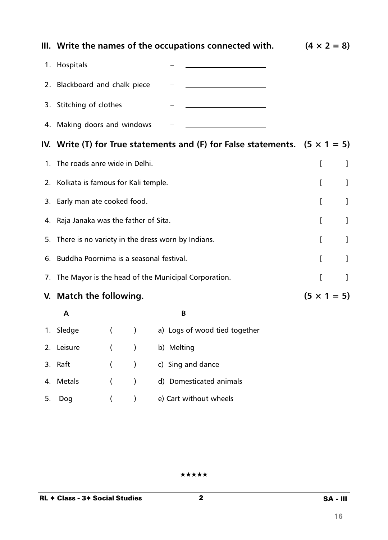|    |                                                   |          |               | III. Write the names of the occupations connected with.                            | $(4 \times 2 = 8)$ |   |
|----|---------------------------------------------------|----------|---------------|------------------------------------------------------------------------------------|--------------------|---|
|    | 1. Hospitals                                      |          |               |                                                                                    |                    |   |
|    | 2. Blackboard and chalk piece                     |          |               |                                                                                    |                    |   |
|    | 3. Stitching of clothes                           |          |               |                                                                                    |                    |   |
|    | 4. Making doors and windows                       |          |               |                                                                                    |                    |   |
|    |                                                   |          |               | IV. Write (T) for True statements and (F) for False statements. $(5 \times 1 = 5)$ |                    |   |
|    | 1. The roads anre wide in Delhi.                  |          |               |                                                                                    | I                  | 1 |
|    | 2. Kolkata is famous for Kali temple.             |          |               |                                                                                    | ſ                  | 1 |
|    | 3. Early man ate cooked food.                     |          |               |                                                                                    |                    | J |
|    | 4. Raja Janaka was the father of Sita.            | [        | 1             |                                                                                    |                    |   |
| 5. | There is no variety in the dress worn by Indians. | L        | 1             |                                                                                    |                    |   |
| 6. | Buddha Poornima is a seasonal festival.           | L        | I             |                                                                                    |                    |   |
| 7. |                                                   |          |               | The Mayor is the head of the Municipal Corporation.                                | ſ                  | 1 |
|    | V. Match the following.                           |          |               |                                                                                    | $(5 \times 1 = 5)$ |   |
|    | A                                                 |          |               | B                                                                                  |                    |   |
|    | 1. Sledge                                         |          | $\mathcal{E}$ | a) Logs of wood tied together                                                      |                    |   |
|    | 2. Leisure                                        |          | $\lambda$     | b) Melting                                                                         |                    |   |
|    | 3. Raft                                           | $\left($ | $\big)$       | c) Sing and dance                                                                  |                    |   |
| 4. | <b>Metals</b>                                     | (        | $\mathcal{E}$ | d) Domesticated animals                                                            |                    |   |
| 5. | Dog                                               | $\left($ | $\mathcal{C}$ | e) Cart without wheels                                                             |                    |   |

2 SA - III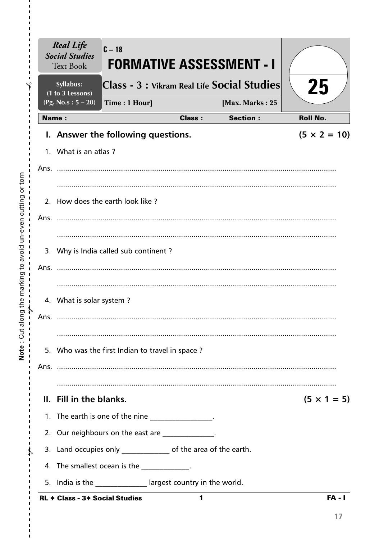|              | <b>Real Life</b><br><b>Social Studies</b><br><b>Text Book</b> | $C - 18$                                                         |               | <b>FORMATIVE ASSESSMENT - I</b>             |                     |
|--------------|---------------------------------------------------------------|------------------------------------------------------------------|---------------|---------------------------------------------|---------------------|
|              | Syllabus:<br>(1 to 3 Lessons)                                 |                                                                  |               | Class - 3 : Vikram Real Life Social Studies | 25                  |
|              | (Pg. No.s: $5 - 20$ )                                         | Time: 1 Hour]                                                    |               | [Max. Marks: 25                             |                     |
| <b>Name:</b> |                                                               |                                                                  | <b>Class:</b> | <b>Section:</b>                             | <b>Roll No.</b>     |
|              |                                                               | I. Answer the following questions.                               |               |                                             | $(5 \times 2 = 10)$ |
|              | 1. What is an atlas?                                          |                                                                  |               |                                             |                     |
|              |                                                               |                                                                  |               |                                             |                     |
|              |                                                               |                                                                  |               |                                             |                     |
|              |                                                               | 2. How does the earth look like?                                 |               |                                             |                     |
|              |                                                               |                                                                  |               |                                             |                     |
|              |                                                               |                                                                  |               |                                             |                     |
|              |                                                               | 3. Why is India called sub continent?                            |               |                                             |                     |
| Ans.         |                                                               |                                                                  |               |                                             |                     |
|              |                                                               |                                                                  |               |                                             |                     |
|              | 4. What is solar system?                                      |                                                                  |               |                                             |                     |
| Ans.         |                                                               |                                                                  |               |                                             |                     |
|              |                                                               |                                                                  |               |                                             |                     |
|              |                                                               | 5. Who was the first Indian to travel in space?                  |               |                                             |                     |
|              |                                                               |                                                                  |               |                                             |                     |
|              |                                                               |                                                                  |               |                                             |                     |
|              | II. Fill in the blanks.                                       |                                                                  |               |                                             | $(5 \times 1 = 5)$  |
|              |                                                               | 1. The earth is one of the nine ________________.                |               |                                             |                     |
|              |                                                               | 2. Our neighbours on the east are ____________.                  |               |                                             |                     |
|              |                                                               | 3. Land occupies only ________________ of the area of the earth. |               |                                             |                     |
|              |                                                               | 4. The smallest ocean is the _____________.                      |               |                                             |                     |
|              |                                                               | 5. India is the ______________ largest country in the world.     |               |                                             |                     |
|              | <b>RL + Class - 3+ Social Studies</b>                         |                                                                  | 1             |                                             | <b>FA - I</b>       |

Note: Cut along the marking to avoid un-even cutting or torn

 $\frac{1}{1}$  $\mathbf I$  $\mathbf I$  $\mathbf I$ 

 $\mathbf{I}$  $\mathbf I$  $\mathbf{I}$  $\frac{1}{1}$ 

 $\frac{1}{1}$  $\bar{\mathbf{I}}$  $\mathbf I$  $\mathbf{I}$  $\mathbf{I}$  $\mathbf{I}$  $\mathbf{I}$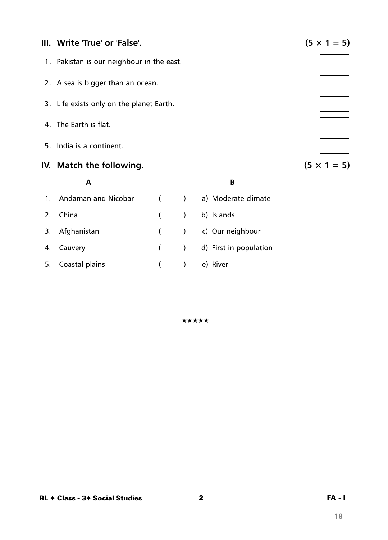### **III.** Write 'True' or 'False'.  $(5 \times 1 = 5)$

- 1. Pakistan is our neighbour in the east.
- 2. A sea is bigger than an ocean.
- 3. Life exists only on the planet Earth.
- 4. The Earth is flat.
- 5. India is a continent.

## **IV.** Match the following.  $(5 \times 1 = 5)$

# **A B** 1. Andaman and Nicobar ( ) a) Moderate climate 2. China ( ) b) Islands 3. Afghanistan ( ) c) Our neighbour 4. Cauvery ( ) d) First in population 5. Coastal plains ( ) e) River

★★★★★



2 FA - I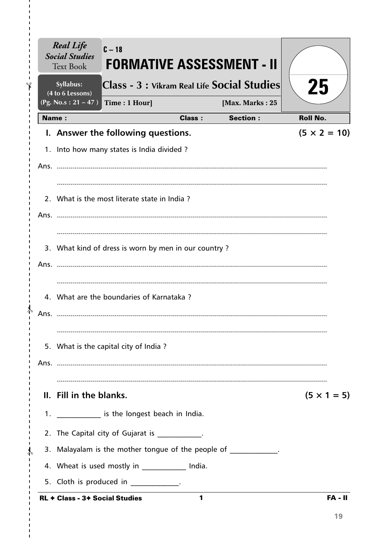| <b>Real Life</b><br><b>Social Studies</b><br><b>Text Book</b> | $C - 18$<br><b>FORMATIVE ASSESSMENT - II</b>         |               |                 |                     |
|---------------------------------------------------------------|------------------------------------------------------|---------------|-----------------|---------------------|
| Syllabus:<br>(4 to 6 Lessons)                                 | Class - 3 : Vikram Real Life Social Studies          |               |                 | 25                  |
| $(Pg. No.s: 21 - 47)$                                         | Time: 1 Hour]                                        |               | [Max. Marks: 25 |                     |
| Name:                                                         |                                                      | <b>Class:</b> | <b>Section:</b> | <b>Roll No.</b>     |
|                                                               | I. Answer the following questions.                   |               |                 | $(5 \times 2 = 10)$ |
|                                                               | 1. Into how many states is India divided?            |               |                 |                     |
|                                                               |                                                      |               |                 |                     |
|                                                               | 2. What is the most literate state in India?         |               |                 |                     |
|                                                               |                                                      |               |                 |                     |
|                                                               | 3. What kind of dress is worn by men in our country? |               |                 |                     |
|                                                               |                                                      |               |                 |                     |
|                                                               | 4. What are the boundaries of Karnataka?             |               |                 |                     |
|                                                               |                                                      |               |                 |                     |
|                                                               | 5. What is the capital city of India?                |               |                 |                     |
|                                                               |                                                      |               |                 |                     |
| II. Fill in the blanks.                                       |                                                      |               |                 | $(5 \times 1 = 5)$  |
|                                                               | 1. _____________ is the longest beach in India.      |               |                 |                     |
|                                                               | 2. The Capital city of Gujarat is __________.        |               |                 |                     |
|                                                               | 3. Malayalam is the mother tongue of the people of   |               |                 |                     |
|                                                               | 4. Wheat is used mostly in _____________ India.      |               |                 |                     |
|                                                               | 5. Cloth is produced in ____________.                |               |                 |                     |
| <b>RL ← Class - 3← Social Studies</b>                         |                                                      | 1             |                 | FA - II             |

 $\blacksquare$  $\mathbf I$ f.

I.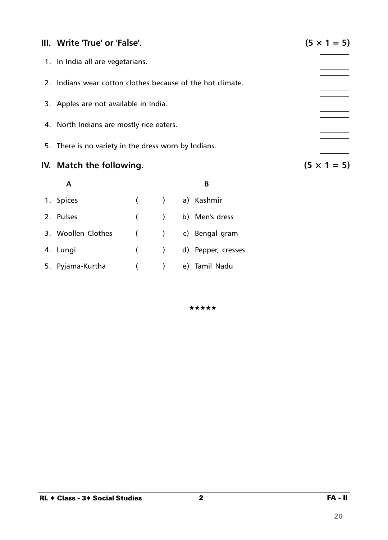## **III.** Write 'True' or 'False'.  $(5 \times 1 = 5)$

- 1. In India all are vegetarians.
- 2. Indians wear cotton clothes because of the hot climate.
- 3. Apples are not available in India.
- 4. North Indians are mostly rice eaters.
- 5. There is no variety in the dress worn by Indians.

### **IV.** Match the following.  $(5 \times 1 = 5)$

|                    |                          | B                      |
|--------------------|--------------------------|------------------------|
| 1. Spices          |                          | ( ) a) Kashmir         |
| 2. Pulses          |                          | ( ) b) Men's dress     |
| 3. Woollen Clothes |                          | ( ) c) Bengal gram     |
| 4. Lungi           |                          | ( ) d) Pepper, cresses |
| 5. Pyjama-Kurtha   | $\overline{\phantom{a}}$ | e) Tamil Nadu          |

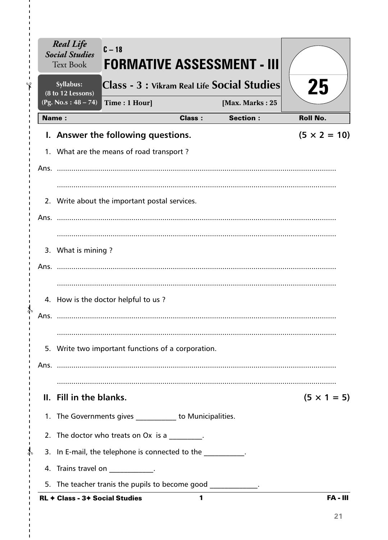|    |              | <b>Real Life</b><br><b>Social Studies</b><br><b>Text Book</b> | $C-18$                                                        |               | <b>FORMATIVE ASSESSMENT - III</b>           |                     |
|----|--------------|---------------------------------------------------------------|---------------------------------------------------------------|---------------|---------------------------------------------|---------------------|
| ۹ρ |              | Syllabus:<br>(8 to 12 Lessons)                                |                                                               |               | Class - 3 : Vikram Real Life Social Studies | 25                  |
|    |              | (Pg. No.s: 48 – 74)                                           | Time: 1 Hour]                                                 |               | [Max. Marks: 25                             |                     |
|    | <b>Name:</b> |                                                               |                                                               | <b>Class:</b> | <b>Section:</b>                             | <b>Roll No.</b>     |
|    |              |                                                               | I. Answer the following questions.                            |               |                                             | $(5 \times 2 = 10)$ |
|    |              |                                                               | 1. What are the means of road transport?                      |               |                                             |                     |
|    |              |                                                               |                                                               |               |                                             |                     |
|    |              |                                                               |                                                               |               |                                             |                     |
|    |              |                                                               | 2. Write about the important postal services.                 |               |                                             |                     |
|    |              |                                                               |                                                               |               |                                             |                     |
|    |              |                                                               |                                                               |               |                                             |                     |
|    |              | 3. What is mining?                                            |                                                               |               |                                             |                     |
|    | Ans.         |                                                               |                                                               |               |                                             |                     |
|    |              |                                                               |                                                               |               |                                             |                     |
|    |              |                                                               | 4. How is the doctor helpful to us?                           |               |                                             |                     |
|    | Ans.         |                                                               |                                                               |               |                                             |                     |
|    |              |                                                               |                                                               |               |                                             |                     |
|    |              |                                                               | 5. Write two important functions of a corporation.            |               |                                             |                     |
|    |              |                                                               |                                                               |               |                                             |                     |
|    |              |                                                               |                                                               |               |                                             |                     |
|    |              | II. Fill in the blanks.                                       |                                                               |               |                                             | $(5 \times 1 = 5)$  |
|    |              |                                                               | 1. The Governments gives ___________ to Municipalities.       |               |                                             |                     |
|    |              |                                                               | 2. The doctor who treats on Ox is a ________.                 |               |                                             |                     |
|    |              |                                                               | 3. In E-mail, the telephone is connected to the               |               |                                             |                     |
|    |              |                                                               | 4. Trains travel on ____________.                             |               |                                             |                     |
|    |              |                                                               | 5. The teacher tranis the pupils to become good ____________. |               |                                             |                     |
|    |              | RL + Class - 3+ Social Studies                                |                                                               | 1             |                                             | <b>FA-III</b>       |

 $\mathbf{I}$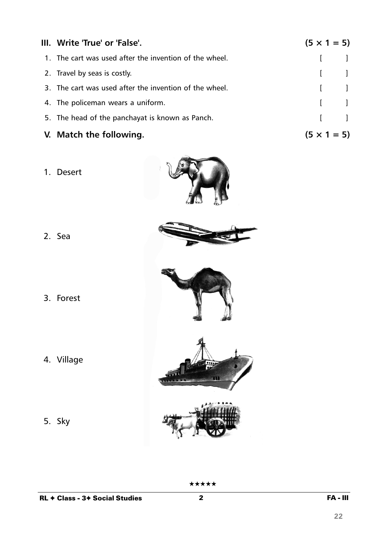| III. Write 'True' or 'False'.                          | $(5 \times 1 = 5)$ |                                                |
|--------------------------------------------------------|--------------------|------------------------------------------------|
| 1. The cart was used after the invention of the wheel. |                    | $\begin{bmatrix} 1 & 1 \end{bmatrix}$          |
| 2. Travel by seas is costly.                           |                    | $\begin{bmatrix} 1 & 1 \\ 1 & 1 \end{bmatrix}$ |
| 3. The cart was used after the invention of the wheel. |                    | $\begin{bmatrix} 1 & 1 \end{bmatrix}$          |
| 4. The policeman wears a uniform.                      |                    | $\begin{bmatrix} 1 & 1 \end{bmatrix}$          |
| 5. The head of the panchayat is known as Panch.        |                    | $\begin{bmatrix} 1 & 1 \end{bmatrix}$          |
| V. Match the following.                                | $(5 \times 1 = 5)$ |                                                |

1. Desert



- 2. Sea
- 

3. Forest



- 4. Village
- 5. Sky



 $\overline{\mathbf{2}}$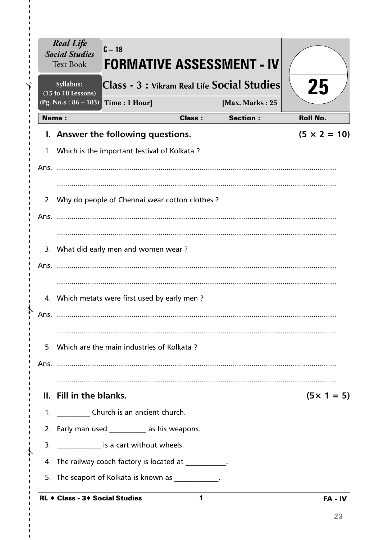|      | <b>Real Life</b><br><b>Social Studies</b><br><b>Text Book</b> | $C - 18$<br><b>FORMATIVE ASSESSMENT - IV</b>           |               |                 |                     |
|------|---------------------------------------------------------------|--------------------------------------------------------|---------------|-----------------|---------------------|
|      | Syllabus:<br>(15 to 18 Lessons)                               | Class - 3 : Vikram Real Life Social Studies            |               |                 | 25                  |
|      | (Pg. No.s: $86 - 103$ )                                       | Time: 1 Hour]                                          |               | [Max. Marks: 25 |                     |
|      | Name:                                                         |                                                        | <b>Class:</b> | <b>Section:</b> | <b>Roll No.</b>     |
|      |                                                               | I. Answer the following questions.                     |               |                 | $(5 \times 2 = 10)$ |
|      |                                                               | 1. Which is the important festival of Kolkata?         |               |                 |                     |
| Ans. |                                                               |                                                        |               |                 |                     |
|      |                                                               |                                                        |               |                 |                     |
| 2.   |                                                               | Why do people of Chennai wear cotton clothes?          |               |                 |                     |
| Ans. |                                                               |                                                        |               |                 |                     |
|      |                                                               |                                                        |               |                 |                     |
|      |                                                               | 3. What did early men and women wear?                  |               |                 |                     |
| Ans. |                                                               |                                                        |               |                 |                     |
|      |                                                               |                                                        |               |                 |                     |
| 4.   |                                                               | Which metats were first used by early men?             |               |                 |                     |
|      |                                                               |                                                        |               |                 |                     |
|      |                                                               |                                                        |               |                 |                     |
|      |                                                               | 5. Which are the main industries of Kolkata?           |               |                 |                     |
|      |                                                               |                                                        |               |                 |                     |
|      |                                                               |                                                        |               |                 |                     |
|      | II. Fill in the blanks.                                       |                                                        |               |                 | $(5 \times 1 = 5)$  |
|      |                                                               | 1. _____________ Church is an ancient church.          |               |                 |                     |
|      |                                                               | 2. Early man used ___________ as his weapons.          |               |                 |                     |
| 3.   |                                                               | ______________ is a cart without wheels.               |               |                 |                     |
|      |                                                               | 4. The railway coach factory is located at __________. |               |                 |                     |
| 5.   |                                                               | The seaport of Kolkata is known as ____________.       |               |                 |                     |
|      |                                                               | RL $\div$ Class - 3 $\div$ Social Studies              | 1             |                 | FA - IV             |

I  $\mathbf{I}$  $\gamma$ Ï

∤

)<br>P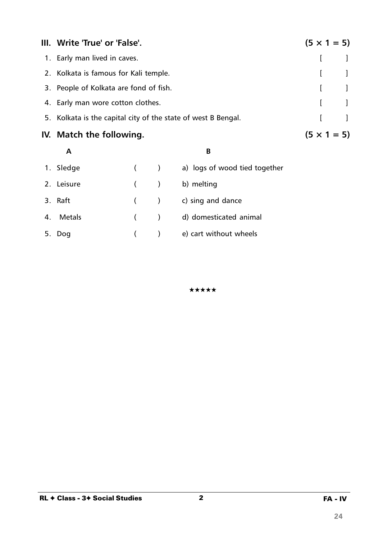| III. Write 'True' or 'False'.                                 | $(5 \times 1 = 5)$ |                                       |
|---------------------------------------------------------------|--------------------|---------------------------------------|
| 1. Early man lived in caves.                                  |                    |                                       |
| 2. Kolkata is famous for Kali temple.                         |                    |                                       |
| 3. People of Kolkata are fond of fish.                        |                    | $\begin{bmatrix} 1 & 1 \end{bmatrix}$ |
| 4. Early man wore cotton clothes.                             |                    | $\begin{bmatrix} 1 & 1 \end{bmatrix}$ |
| 5. Kolkata is the capital city of the state of west B Bengal. | L                  |                                       |
| IV. Match the following.                                      | $(5 \times 1 = 5)$ |                                       |

#### **A B**

| 1. Sledge  |         | $\overline{\phantom{a}}$ | a) logs of wood tied together |
|------------|---------|--------------------------|-------------------------------|
| 2. Leisure | $($ )   |                          | b) melting                    |
| 3. Raft    | $($ $)$ |                          | c) sing and dance             |
| 4. Metals  | (       |                          | d) domesticated animal        |
| 5. Dog     |         |                          | e) cart without wheels        |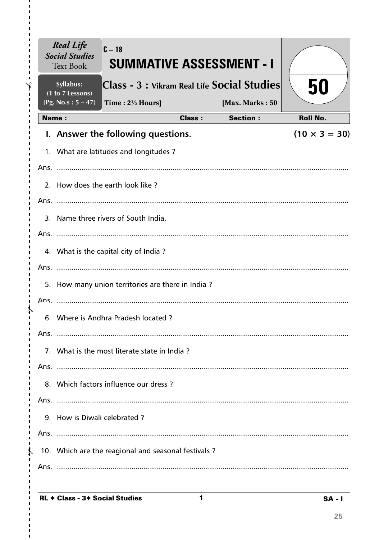|               | <b>Real Life</b><br><b>Social Studies</b><br><b>Text Book</b> | $C-18$<br><b>SUMMATIVE ASSESSMENT - I</b>            |               |                 |                      |
|---------------|---------------------------------------------------------------|------------------------------------------------------|---------------|-----------------|----------------------|
| Ÿ             | Syllabus:<br>(1 to 7 Lessons)                                 | Class - 3 : Vikram Real Life Social Studies          |               |                 | 50                   |
|               | $(Pg. No.s : 5 - 47)$                                         | Time: $2\frac{1}{2}$ Hours]                          |               | [Max. Marks: 50 |                      |
|               | <b>Name:</b>                                                  |                                                      | <b>Class:</b> | <b>Section:</b> | <b>Roll No.</b>      |
|               |                                                               | I. Answer the following questions.                   |               |                 | $(10 \times 3 = 30)$ |
|               |                                                               | 1. What are latitudes and longitudes?                |               |                 |                      |
|               |                                                               |                                                      |               |                 |                      |
|               |                                                               | 2. How does the earth look like?                     |               |                 |                      |
|               |                                                               |                                                      |               |                 |                      |
|               |                                                               | 3. Name three rivers of South India.                 |               |                 |                      |
|               |                                                               |                                                      |               |                 |                      |
|               |                                                               | 4. What is the capital city of India?                |               |                 |                      |
|               |                                                               |                                                      |               |                 |                      |
|               |                                                               | 5. How many union territories are there in India?    |               |                 |                      |
|               |                                                               |                                                      |               |                 |                      |
|               |                                                               | 6. Where is Andhra Pradesh located?                  |               |                 |                      |
| Ans.          |                                                               |                                                      |               |                 |                      |
|               |                                                               | 7. What is the most literate state in India?         |               |                 |                      |
|               |                                                               |                                                      |               |                 |                      |
|               |                                                               | 8. Which factors influence our dress?                |               |                 |                      |
|               |                                                               |                                                      |               |                 |                      |
|               | 9. How is Diwali celebrated?                                  |                                                      |               |                 |                      |
|               |                                                               |                                                      |               |                 |                      |
| $\frac{1}{4}$ |                                                               | 10. Which are the reagional and seasonal festivals ? |               |                 |                      |
|               |                                                               |                                                      |               |                 |                      |
|               |                                                               |                                                      |               |                 |                      |

 $\mathbf{1}$ 

I.

I.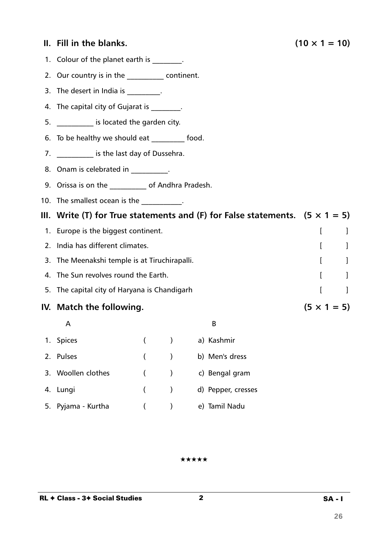### **II.** Fill in the blanks. (10  $\times$  1 = 10)

- 1. Colour of the planet earth is \_\_\_\_\_\_\_\_.
- 2. Our country is in the \_\_\_\_\_\_\_\_\_\_\_ continent.
- 3. The desert in India is  $\frac{1}{2}$ .
- 4. The capital city of Gujarat is  $\qquad \qquad$ .
- 5. \_\_\_\_\_\_\_\_\_\_ is located the garden city.
- 6. To be healthy we should eat \_\_\_\_\_\_\_\_\_ food.
- 7. \_\_\_\_\_\_\_\_\_\_\_\_ is the last day of Dussehra.
- 8. Onam is celebrated in Fig. 2. 1998.
- 9. Orissa is on the \_\_\_\_\_\_\_\_\_\_ of Andhra Pradesh.
- 10. The smallest ocean is the manuscript of the set of the set of the set of the set of the set of the set of the set of the set of the set of the set of the set of the set of the set of the set of the set of the set of th
- **III. Write (T) for True statements and (F) for False statements. (5 × 1 = 5)**
- 1. Europe is the biggest continent.
- 2. India has different climates. The contract of the contract of the contract of the contract of the contract of the contract of the contract of the contract of the contract of the contract of the contract of the contract
- 3. The Meenakshi temple is at Tiruchirapalli. The matrix of the Meenakshi temple is at Tiruchirapalli.
- 4. The Sun revolves round the Earth. The Sun revolves round the Earth.
- 5. The capital city of Haryana is Chandigarh **Fig. 1** (1) The capital city of Haryana is Chandigarh **[**  $\qquad$  ]
- **IV.** Match the following.  $(5 \times 1 = 5)$ 
	- $\mathsf A$

| 1. Spices          | (          |               | a) Kashmir         |
|--------------------|------------|---------------|--------------------|
| 2. Pulses          | (          |               | b) Men's dress     |
| 3. Woollen clothes | $\sqrt{2}$ | $\rightarrow$ | c) Bengal gram     |
| 4. Lungi           | (          |               | d) Pepper, cresses |
| 5. Pyjama - Kurtha |            |               | e) Tamil Nadu      |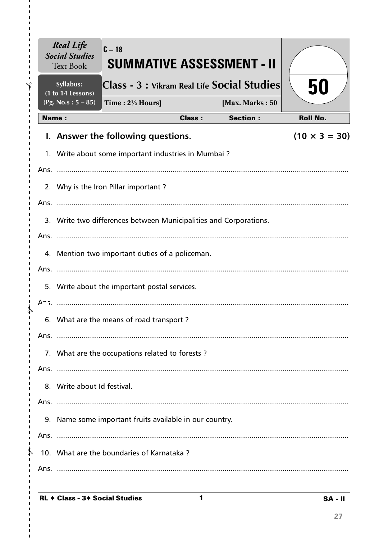|               |      | <b>Real Life</b><br><b>Social Studies</b><br><b>Text Book</b>     | $C - 18$<br><b>SUMMATIVE ASSESSMENT - II</b>        |               |                 |                      |  |  |  |
|---------------|------|-------------------------------------------------------------------|-----------------------------------------------------|---------------|-----------------|----------------------|--|--|--|
|               |      | Syllabus:<br>(1 to 14 Lessons)                                    | Class - 3 : Vikram Real Life Social Studies         |               |                 | 50                   |  |  |  |
|               |      | (Pg. No.s: $5 - 85$ )                                             | Time: $2\frac{1}{2}$ Hours]                         |               | [Max. Marks: 50 |                      |  |  |  |
|               |      | <b>Name:</b>                                                      |                                                     | <b>Class:</b> | <b>Section:</b> | <b>Roll No.</b>      |  |  |  |
|               |      |                                                                   | I. Answer the following questions.                  |               |                 | $(10 \times 3 = 30)$ |  |  |  |
|               |      |                                                                   | 1. Write about some important industries in Mumbai? |               |                 |                      |  |  |  |
|               |      |                                                                   |                                                     |               |                 |                      |  |  |  |
|               |      | 2. Why is the Iron Pillar important?                              |                                                     |               |                 |                      |  |  |  |
|               |      |                                                                   |                                                     |               |                 |                      |  |  |  |
|               |      | 3. Write two differences between Municipalities and Corporations. |                                                     |               |                 |                      |  |  |  |
|               |      |                                                                   |                                                     |               |                 |                      |  |  |  |
|               |      | 4. Mention two important duties of a policeman.                   |                                                     |               |                 |                      |  |  |  |
|               |      |                                                                   |                                                     |               |                 |                      |  |  |  |
|               |      | 5. Write about the important postal services.                     |                                                     |               |                 |                      |  |  |  |
|               |      |                                                                   |                                                     |               |                 |                      |  |  |  |
|               |      |                                                                   | 6. What are the means of road transport?            |               |                 |                      |  |  |  |
|               | Ans. |                                                                   |                                                     |               |                 |                      |  |  |  |
|               |      |                                                                   | 7. What are the occupations related to forests?     |               |                 |                      |  |  |  |
|               |      |                                                                   |                                                     |               |                 |                      |  |  |  |
|               |      |                                                                   | 8. Write about Id festival.                         |               |                 |                      |  |  |  |
|               |      |                                                                   |                                                     |               |                 |                      |  |  |  |
|               |      | 9. Name some important fruits available in our country.           |                                                     |               |                 |                      |  |  |  |
|               |      |                                                                   |                                                     |               |                 |                      |  |  |  |
| $\frac{1}{4}$ |      |                                                                   | 10. What are the boundaries of Karnataka?           |               |                 |                      |  |  |  |
|               |      |                                                                   |                                                     |               |                 |                      |  |  |  |
|               |      |                                                                   |                                                     |               |                 |                      |  |  |  |

 $\mathbf{1}$ 

I.

I.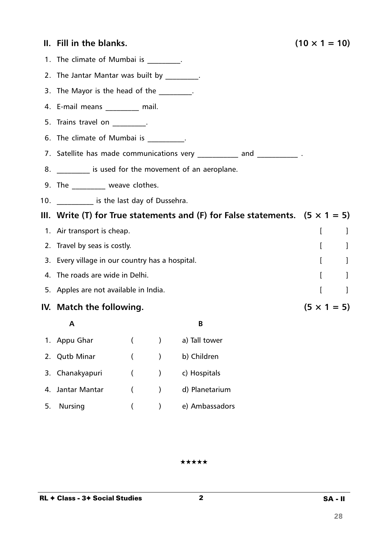|    | II. Fill in the blanks.                                                             |                              |           |                                                         | $(10 \times 1 = 10)$ |  |  |
|----|-------------------------------------------------------------------------------------|------------------------------|-----------|---------------------------------------------------------|----------------------|--|--|
|    | 1. The climate of Mumbai is ________.                                               |                              |           |                                                         |                      |  |  |
|    | 2. The Jantar Mantar was built by _________.                                        |                              |           |                                                         |                      |  |  |
|    | 3. The Mayor is the head of the _________.                                          |                              |           |                                                         |                      |  |  |
|    | 4. E-mail means _________ mail.                                                     |                              |           |                                                         |                      |  |  |
|    | 5. Trains travel on Fig.                                                            |                              |           |                                                         |                      |  |  |
|    | 6. The climate of Mumbai is _________.                                              |                              |           |                                                         |                      |  |  |
|    | 7. Satellite has made communications very ___________ and _____________.            |                              |           |                                                         |                      |  |  |
|    |                                                                                     |                              |           | 8. __________ is used for the movement of an aeroplane. |                      |  |  |
|    | 9. The __________ weave clothes.                                                    |                              |           |                                                         |                      |  |  |
|    | 10. ____________ is the last day of Dussehra.                                       |                              |           |                                                         |                      |  |  |
|    | III. Write (T) for True statements and (F) for False statements. $(5 \times 1 = 5)$ |                              |           |                                                         |                      |  |  |
|    | 1. Air transport is cheap.                                                          |                              |           |                                                         | I<br>-1              |  |  |
|    | 2. Travel by seas is costly.                                                        | $\mathbf{r}$<br>$\perp$      |           |                                                         |                      |  |  |
|    | 3. Every village in our country has a hospital.                                     | $\mathbf{I}$<br>-1           |           |                                                         |                      |  |  |
|    | 4. The roads are wide in Delhi.                                                     | $\mathbf{r}$<br>$\mathbf{I}$ |           |                                                         |                      |  |  |
|    | 5. Apples are not available in India.                                               | $\overline{[}$<br>$\Box$     |           |                                                         |                      |  |  |
|    | IV. Match the following.                                                            | $(5 \times 1 = 5)$           |           |                                                         |                      |  |  |
|    | Α                                                                                   |                              |           | В                                                       |                      |  |  |
| 1. | Appu Ghar                                                                           |                              |           | a) Tall tower                                           |                      |  |  |
| 2. | <b>Qutb Minar</b>                                                                   |                              |           | b) Children                                             |                      |  |  |
| 3. | Chanakyapuri                                                                        |                              |           | c) Hospitals                                            |                      |  |  |
| 4. | Jantar Mantar                                                                       |                              | $\lambda$ | d) Planetarium                                          |                      |  |  |

5. Nursing ( ) e) Ambassadors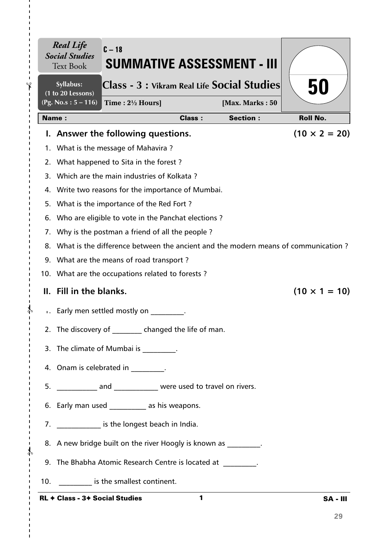| $\blacksquare$       |     | <b>Real Life</b><br><b>Social Studies</b><br><b>Text Book</b>                        | $C - 18$<br><b>SUMMATIVE ASSESSMENT - III</b> |               |                 |                      |  |  |  |
|----------------------|-----|--------------------------------------------------------------------------------------|-----------------------------------------------|---------------|-----------------|----------------------|--|--|--|
| F                    |     | Syllabus:<br>(1 to 20 Lessons)                                                       | Class - 3 : Vikram Real Life Social Studies   |               |                 | 50                   |  |  |  |
| п<br>J.<br>п         |     | $(Pg. No.s: 5 - 116)$                                                                | Time : $2\frac{1}{2}$ Hours]                  |               | [Max. Marks: 50 |                      |  |  |  |
|                      |     | <b>Name:</b>                                                                         |                                               | <b>Class:</b> | <b>Section:</b> | <b>Roll No.</b>      |  |  |  |
|                      |     |                                                                                      | I. Answer the following questions.            |               |                 | $(10 \times 2 = 20)$ |  |  |  |
|                      |     |                                                                                      | 1. What is the message of Mahavira?           |               |                 |                      |  |  |  |
|                      |     | 2. What happened to Sita in the forest?                                              |                                               |               |                 |                      |  |  |  |
|                      |     | 3. Which are the main industries of Kolkata?                                         |                                               |               |                 |                      |  |  |  |
|                      |     | 4. Write two reasons for the importance of Mumbai.                                   |                                               |               |                 |                      |  |  |  |
|                      | 5.  | What is the importance of the Red Fort?                                              |                                               |               |                 |                      |  |  |  |
|                      | 6.  | Who are eligible to vote in the Panchat elections?                                   |                                               |               |                 |                      |  |  |  |
|                      |     | 7. Why is the postman a friend of all the people?                                    |                                               |               |                 |                      |  |  |  |
|                      |     | 8. What is the difference between the ancient and the modern means of communication? |                                               |               |                 |                      |  |  |  |
|                      |     | 9. What are the means of road transport?                                             |                                               |               |                 |                      |  |  |  |
|                      |     | 10. What are the occupations related to forests?                                     |                                               |               |                 |                      |  |  |  |
|                      |     | II. Fill in the blanks.                                                              |                                               |               |                 | $(10 \times 1 = 10)$ |  |  |  |
|                      |     |                                                                                      | Early men settled mostly on                   |               |                 |                      |  |  |  |
|                      |     |                                                                                      | 2. The discovery of changed the life of man.  |               |                 |                      |  |  |  |
|                      |     | 3. The climate of Mumbai is The climate of Mumbai is                                 |                                               |               |                 |                      |  |  |  |
| п                    |     | 4. Onam is celebrated in _________.                                                  |                                               |               |                 |                      |  |  |  |
|                      |     | 5. ______________ and _______________ were used to travel on rivers.                 |                                               |               |                 |                      |  |  |  |
|                      |     | 6. Early man used ____________ as his weapons.                                       |                                               |               |                 |                      |  |  |  |
|                      |     | 7. ______________ is the longest beach in India.                                     |                                               |               |                 |                      |  |  |  |
| T.<br>$\frac{1}{2}$  |     | 8. A new bridge built on the river Hoogly is known as                                |                                               |               |                 |                      |  |  |  |
| I.<br>т<br>-1        |     | 9. The Bhabha Atomic Research Centre is located at __________.                       |                                               |               |                 |                      |  |  |  |
| $\blacksquare$<br>I. | 10. |                                                                                      | is the smallest continent.                    |               |                 |                      |  |  |  |
|                      |     | <b>RL ← Class - 3+ Social Studies</b>                                                |                                               | 1             |                 | <b>SA - III</b>      |  |  |  |

I.

 $\mathbf{I}$  $\blacksquare$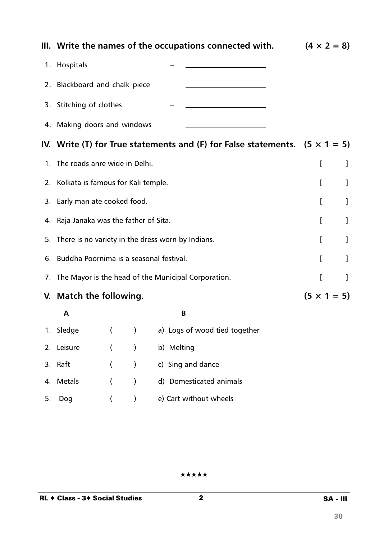|    | III. Write the names of the occupations connected with. | $(4 \times 2 = 8)$ |               |                                                                                    |  |                    |
|----|---------------------------------------------------------|--------------------|---------------|------------------------------------------------------------------------------------|--|--------------------|
|    | 1. Hospitals                                            |                    |               |                                                                                    |  |                    |
|    | 2. Blackboard and chalk piece                           |                    |               |                                                                                    |  |                    |
|    | 3. Stitching of clothes                                 |                    |               |                                                                                    |  |                    |
|    | 4. Making doors and windows                             |                    |               |                                                                                    |  |                    |
|    |                                                         |                    |               | IV. Write (T) for True statements and (F) for False statements. $(5 \times 1 = 5)$ |  |                    |
|    | 1. The roads anre wide in Delhi.                        |                    | I             | 1                                                                                  |  |                    |
|    | 2. Kolkata is famous for Kali temple.                   | ſ                  | 1             |                                                                                    |  |                    |
|    | 3. Early man ate cooked food.                           |                    |               |                                                                                    |  | J                  |
|    | 4. Raja Janaka was the father of Sita.                  |                    |               |                                                                                    |  | 1                  |
| 5. | There is no variety in the dress worn by Indians.       |                    |               |                                                                                    |  | 1                  |
| 6. | Buddha Poornima is a seasonal festival.                 |                    |               |                                                                                    |  | I                  |
| 7. | The Mayor is the head of the Municipal Corporation.     |                    |               |                                                                                    |  | 1                  |
|    | V. Match the following.                                 |                    |               |                                                                                    |  | $(5 \times 1 = 5)$ |
|    | A                                                       |                    |               | B                                                                                  |  |                    |
|    | 1. Sledge                                               |                    | $\mathcal{E}$ | a) Logs of wood tied together                                                      |  |                    |
|    | 2. Leisure                                              |                    | $\lambda$     | b) Melting                                                                         |  |                    |
|    | 3. Raft                                                 | $\left($           | $\big)$       | c) Sing and dance                                                                  |  |                    |
| 4. | <b>Metals</b>                                           | (                  | $\mathcal{E}$ | d) Domesticated animals                                                            |  |                    |
| 5. | Dog                                                     | $\left($           | $\mathcal{C}$ | e) Cart without wheels                                                             |  |                    |